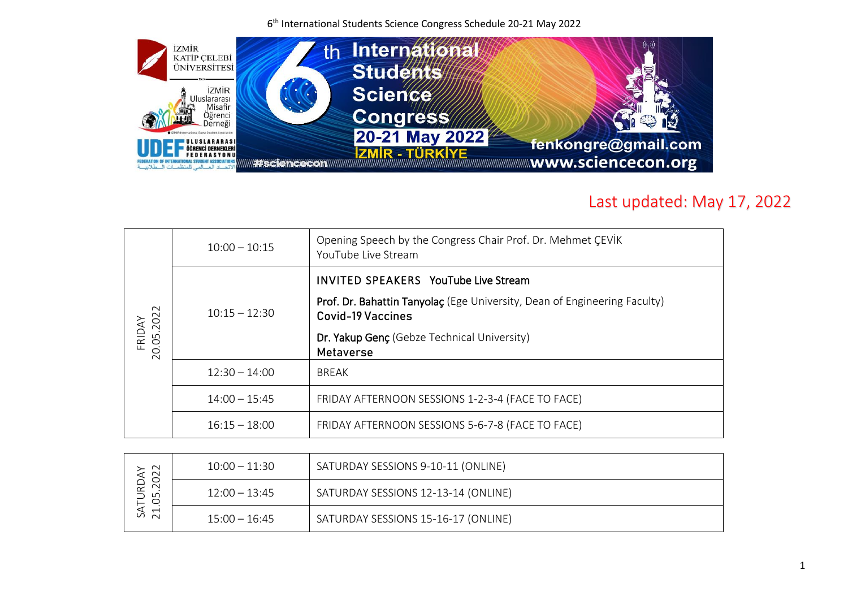6 th International Students Science Congress Schedule 20-21 May 2022



## Last updated: May 17, 2022

| $\sim$<br>FRIDAY<br>20.05.2022 | $10:00 - 10:15$ | Opening Speech by the Congress Chair Prof. Dr. Mehmet ÇEVİK<br>YouTube Live Stream                    |
|--------------------------------|-----------------|-------------------------------------------------------------------------------------------------------|
|                                |                 | INVITED SPEAKERS YouTube Live Stream                                                                  |
|                                | $10:15 - 12:30$ | Prof. Dr. Bahattin Tanyolaç (Ege University, Dean of Engineering Faculty)<br><b>Covid-19 Vaccines</b> |
|                                |                 | Dr. Yakup Genç (Gebze Technical University)<br>Metaverse                                              |
|                                | $12:30 - 14:00$ | <b>BREAK</b>                                                                                          |
|                                | $14:00 - 15:45$ | FRIDAY AFTERNOON SESSIONS 1-2-3-4 (FACE TO FACE)                                                      |
|                                | $16:15 - 18:00$ | FRIDAY AFTERNOON SESSIONS 5-6-7-8 (FACE TO FACE)                                                      |

| $\frac{1}{2}$<br>$\sim$<br>- 65<br>$\sim$ | $10:00 - 11:30$ | SATURDAY SESSIONS 9-10-11 (ONLINE)  |
|-------------------------------------------|-----------------|-------------------------------------|
|                                           | $12:00 - 13:45$ | SATURDAY SESSIONS 12-13-14 (ONLINE) |
|                                           | $15:00 - 16:45$ | SATURDAY SESSIONS 15-16-17 (ONLINE) |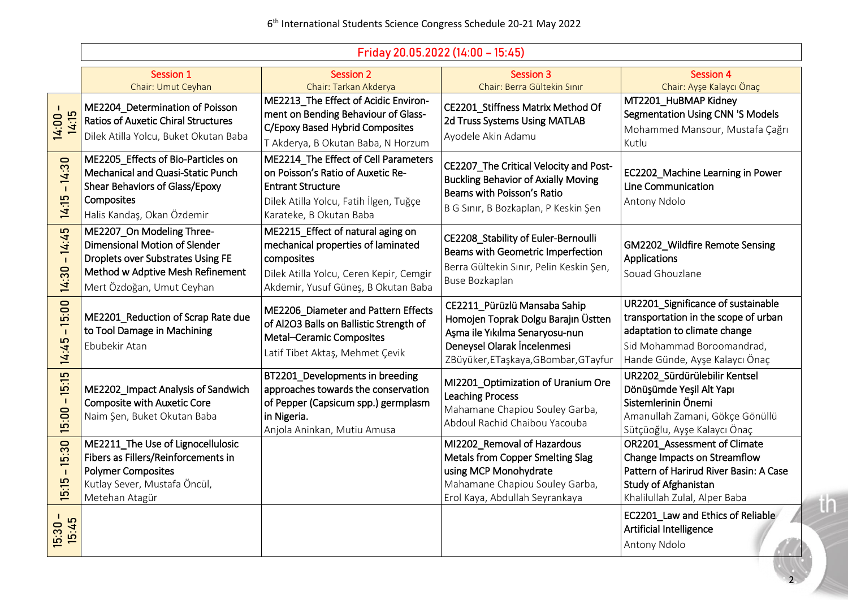|                       | Friday 20.05.2022 (14:00 - 15:45)                                                                                                                                       |                                                                                                                                                                            |                                                                                                                                                                              |                                                                                                                                                                            |
|-----------------------|-------------------------------------------------------------------------------------------------------------------------------------------------------------------------|----------------------------------------------------------------------------------------------------------------------------------------------------------------------------|------------------------------------------------------------------------------------------------------------------------------------------------------------------------------|----------------------------------------------------------------------------------------------------------------------------------------------------------------------------|
|                       | <b>Session 1</b><br>Chair: Umut Ceyhan                                                                                                                                  | <b>Session 2</b><br>Chair: Tarkan Akderya                                                                                                                                  | <b>Session 3</b><br>Chair: Berra Gültekin Sınır                                                                                                                              | <b>Session 4</b><br>Chair: Ayşe Kalaycı Önaç                                                                                                                               |
| 14:15<br>14:00        | ME2204_Determination of Poisson<br><b>Ratios of Auxetic Chiral Structures</b><br>Dilek Atilla Yolcu, Buket Okutan Baba                                                  | ME2213_The Effect of Acidic Environ-<br>ment on Bending Behaviour of Glass-<br>C/Epoxy Based Hybrid Composites<br>T Akderya, B Okutan Baba, N Horzum                       | CE2201_Stiffness Matrix Method Of<br>2d Truss Systems Using MATLAB<br>Ayodele Akin Adamu                                                                                     | MT2201_HuBMAP Kidney<br><b>Segmentation Using CNN 'S Models</b><br>Mohammed Mansour, Mustafa Çağrı<br>Kutlu                                                                |
| $-14:30$<br>14:15     | ME2205_Effects of Bio-Particles on<br>Mechanical and Quasi-Static Punch<br>Shear Behaviors of Glass/Epoxy<br>Composites<br>Halis Kandaş, Okan Özdemir                   | ME2214_The Effect of Cell Parameters<br>on Poisson's Ratio of Auxetic Re-<br><b>Entrant Structure</b><br>Dilek Atilla Yolcu, Fatih İlgen, Tuğçe<br>Karateke, B Okutan Baba | CE2207_The Critical Velocity and Post-<br><b>Buckling Behavior of Axially Moving</b><br>Beams with Poisson's Ratio<br>B G Sınır, B Bozkaplan, P Keskin Şen                   | EC2202_Machine Learning in Power<br>Line Communication<br>Antony Ndolo                                                                                                     |
| $-14:45$<br>14:30     | ME2207 On Modeling Three-<br>Dimensional Motion of Slender<br><b>Droplets over Substrates Using FE</b><br>Method w Adptive Mesh Refinement<br>Mert Özdoğan, Umut Ceyhan | ME2215_Effect of natural aging on<br>mechanical properties of laminated<br>composites<br>Dilek Atilla Yolcu, Ceren Kepir, Cemgir<br>Akdemir, Yusuf Güneş, B Okutan Baba    | CE2208_Stability of Euler-Bernoulli<br>Beams with Geometric Imperfection<br>Berra Gültekin Sınır, Pelin Keskin Şen,<br>Buse Bozkaplan                                        | GM2202_Wildfire Remote Sensing<br>Applications<br>Souad Ghouzlane                                                                                                          |
| $-15:00$<br>14:45     | ME2201_Reduction of Scrap Rate due<br>to Tool Damage in Machining<br>Ebubekir Atan                                                                                      | ME2206_Diameter and Pattern Effects<br>of Al2O3 Balls on Ballistic Strength of<br>Metal-Ceramic Composites<br>Latif Tibet Aktaş, Mehmet Çevik                              | CE2211_Pürüzlü Mansaba Sahip<br>Homojen Toprak Dolgu Barajın Üstten<br>Aşma ile Yıkılma Senaryosu-nun<br>Deneysel Olarak İncelenmesi<br>ZBüyüker, ETaşkaya, GBombar, GTayfur | UR2201_Significance of sustainable<br>transportation in the scope of urban<br>adaptation to climate change<br>Sid Mohammad Boroomandrad,<br>Hande Günde, Ayşe Kalaycı Önaç |
| $-15:15$<br>$15:00 -$ | ME2202_Impact Analysis of Sandwich<br><b>Composite with Auxetic Core</b><br>Naim Şen, Buket Okutan Baba                                                                 | BT2201_Developments in breeding<br>approaches towards the conservation<br>of Pepper (Capsicum spp.) germplasm<br>in Nigeria.<br>Anjola Aninkan, Mutiu Amusa                | MI2201_Optimization of Uranium Ore<br><b>Leaching Process</b><br>Mahamane Chapiou Souley Garba,<br>Abdoul Rachid Chaibou Yacouba                                             | UR2202_Sürdürülebilir Kentsel<br>Dönüşümde Yeşil Alt Yapı<br>Sistemlerinin Önemi<br>Amanullah Zamani, Gökçe Gönüllü<br>Sütçüoğlu, Ayşe Kalaycı Önaç                        |
| $-15:30$<br>15:15     | ME2211_The Use of Lignocellulosic<br>Fibers as Fillers/Reinforcements in<br><b>Polymer Composites</b><br>Kutlay Sever, Mustafa Öncül,<br>Metehan Atagür                 |                                                                                                                                                                            | MI2202_Removal of Hazardous<br>Metals from Copper Smelting Slag<br>using MCP Monohydrate<br>Mahamane Chapiou Souley Garba,<br>Erol Kaya, Abdullah Seyrankaya                 | OR2201_Assessment of Climate<br>Change Impacts on Streamflow<br>Pattern of Harirud River Basin: A Case<br>Study of Afghanistan<br>Khalilullah Zulal, Alper Baba            |
| 15:45<br>15:30        |                                                                                                                                                                         |                                                                                                                                                                            |                                                                                                                                                                              | EC2201 Law and Ethics of Reliable<br>Artificial Intelligence<br>Antony Ndolo                                                                                               |

 $\frac{th}{\sqrt{2}}$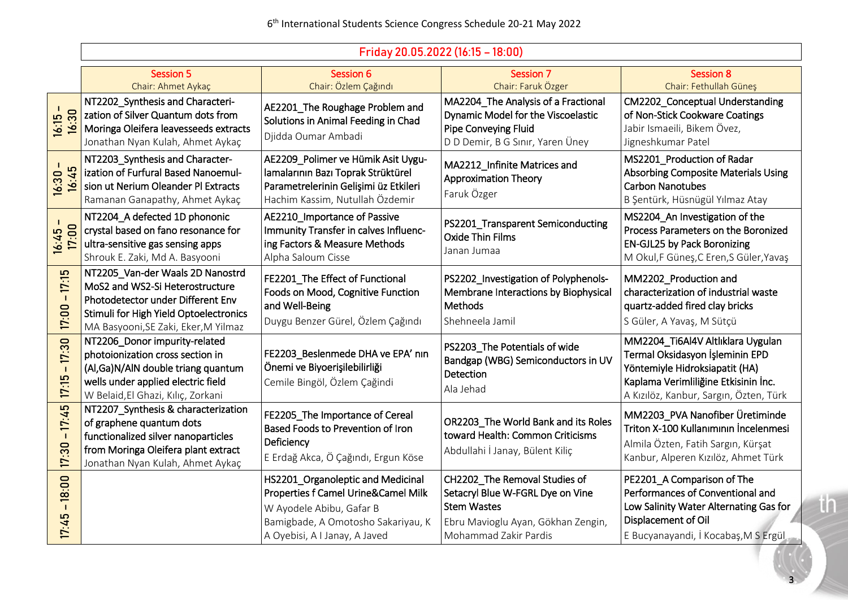|                                  | Friday 20.05.2022 (16:15 - 18:00)                                                                                                                                                          |                                                                                                                                                                             |                                                                                                                                                        |                                                                                                                                                                                          |
|----------------------------------|--------------------------------------------------------------------------------------------------------------------------------------------------------------------------------------------|-----------------------------------------------------------------------------------------------------------------------------------------------------------------------------|--------------------------------------------------------------------------------------------------------------------------------------------------------|------------------------------------------------------------------------------------------------------------------------------------------------------------------------------------------|
|                                  | <b>Session 5</b><br>Chair: Ahmet Aykaç                                                                                                                                                     | Session 6<br>Chair: Özlem Çağındı                                                                                                                                           | <b>Session 7</b><br>Chair: Faruk Özger                                                                                                                 | <b>Session 8</b><br>Chair: Fethullah Güneş                                                                                                                                               |
| $16:15 -$<br>$16:30$             | NT2202_Synthesis and Characteri-<br>zation of Silver Quantum dots from<br>Moringa Oleifera leavesseeds extracts<br>Jonathan Nyan Kulah, Ahmet Aykaç                                        | AE2201_The Roughage Problem and<br>Solutions in Animal Feeding in Chad<br>Djidda Oumar Ambadi                                                                               | MA2204_The Analysis of a Fractional<br>Dynamic Model for the Viscoelastic<br><b>Pipe Conveying Fluid</b><br>D D Demir, B G Sınır, Yaren Üney           | CM2202_Conceptual Understanding<br>of Non-Stick Cookware Coatings<br>Jabir Ismaeili, Bikem Övez,<br>Jigneshkumar Patel                                                                   |
| $16:30 -$<br>16:45               | NT2203_Synthesis and Character-<br>ization of Furfural Based Nanoemul-<br>sion ut Nerium Oleander Pl Extracts<br>Ramanan Ganapathy, Ahmet Aykaç                                            | AE2209_Polimer ve Hümik Asit Uygu-<br>lamalarının Bazı Toprak Strüktürel<br>Parametrelerinin Gelişimi üz Etkileri<br>Hachim Kassim, Nutullah Özdemir                        | MA2212_Infinite Matrices and<br><b>Approximation Theory</b><br>Faruk Özger                                                                             | MS2201_Production of Radar<br>Absorbing Composite Materials Using<br><b>Carbon Nanotubes</b><br>B Şentürk, Hüsnügül Yılmaz Atay                                                          |
| 17:00<br>$16:45 -$               | NT2204_A defected 1D phononic<br>crystal based on fano resonance for<br>ultra-sensitive gas sensing apps<br>Shrouk E. Zaki, Md A. Basyooni                                                 | AE2210 Importance of Passive<br>Immunity Transfer in calves Influenc-<br>ing Factors & Measure Methods<br>Alpha Saloum Cisse                                                | PS2201_Transparent Semiconducting<br><b>Oxide Thin Films</b><br>Janan Jumaa                                                                            | MS2204 An Investigation of the<br>Process Parameters on the Boronized<br><b>EN-GJL25 by Pack Boronizing</b><br>M Okul, F Güneş, C Eren, S Güler, Yavaş                                   |
| 17:15<br>-1<br>17:00             | NT2205_Van-der Waals 2D Nanostrd<br>MoS2 and WS2-Si Heterostructure<br>Photodetector under Different Env<br>Stimuli for High Yield Optoelectronics<br>MA Basyooni, SE Zaki, Eker, M Yilmaz | FE2201_The Effect of Functional<br>Foods on Mood, Cognitive Function<br>and Well-Being<br>Duygu Benzer Gürel, Özlem Çağındı                                                 | PS2202_Investigation of Polyphenols-<br>Membrane Interactions by Biophysical<br>Methods<br>Shehneela Jamil                                             | MM2202_Production and<br>characterization of industrial waste<br>quartz-added fired clay bricks<br>S Güler, A Yavaş, M Sütçü                                                             |
| $-17:30$<br>17:15                | NT2206_Donor impurity-related<br>photoionization cross section in<br>(Al, Ga) N/AIN double triang quantum<br>wells under applied electric field<br>W Belaid, El Ghazi, Kılıç, Zorkani      | FE2203_Beslenmede DHA ve EPA' nin<br>Önemi ve Biyoerişilebilirliği<br>Cemile Bingöl, Özlem Çağindi                                                                          | PS2203_The Potentials of wide<br>Bandgap (WBG) Semiconductors in UV<br>Detection<br>Ala Jehad                                                          | MM2204_Ti6Al4V Altlıklara Uygulan<br>Termal Oksidasyon İşleminin EPD<br>Yöntemiyle Hidroksiapatit (HA)<br>Kaplama Verimliliğine Etkisinin İnc.<br>A Kızılöz, Kanbur, Sargın, Özten, Türk |
| 17:45<br>$\blacksquare$<br>17:30 | NT2207 Synthesis & characterization<br>of graphene quantum dots<br>functionalized silver nanoparticles<br>from Moringa Oleifera plant extract<br>Jonathan Nyan Kulah, Ahmet Aykaç          | FE2205_The Importance of Cereal<br>Based Foods to Prevention of Iron<br>Deficiency<br>E Erdağ Akca, Ö Çağındı, Ergun Köse                                                   | OR2203_The World Bank and its Roles<br>toward Health: Common Criticisms<br>Abdullahi İ Janay, Bülent Kiliç                                             | MM2203_PVA Nanofiber Üretiminde<br>Triton X-100 Kullanımının İncelenmesi<br>Almila Özten, Fatih Sargın, Kürşat<br>Kanbur, Alperen Kızılöz, Ahmet Türk                                    |
| 18:00<br>17:45                   |                                                                                                                                                                                            | HS2201_Organoleptic and Medicinal<br>Properties f Camel Urine&Camel Milk<br>W Ayodele Abibu, Gafar B<br>Bamigbade, A Omotosho Sakariyau, K<br>A Oyebisi, A I Janay, A Javed | CH2202_The Removal Studies of<br>Setacryl Blue W-FGRL Dye on Vine<br><b>Stem Wastes</b><br>Ebru Mavioglu Ayan, Gökhan Zengin,<br>Mohammad Zakir Pardis | PE2201_A Comparison of The<br>Performances of Conventional and<br>Low Salinity Water Alternating Gas for<br>Displacement of Oil<br>E Bucyanayandi, İ Kocabaş, M S Ergül                  |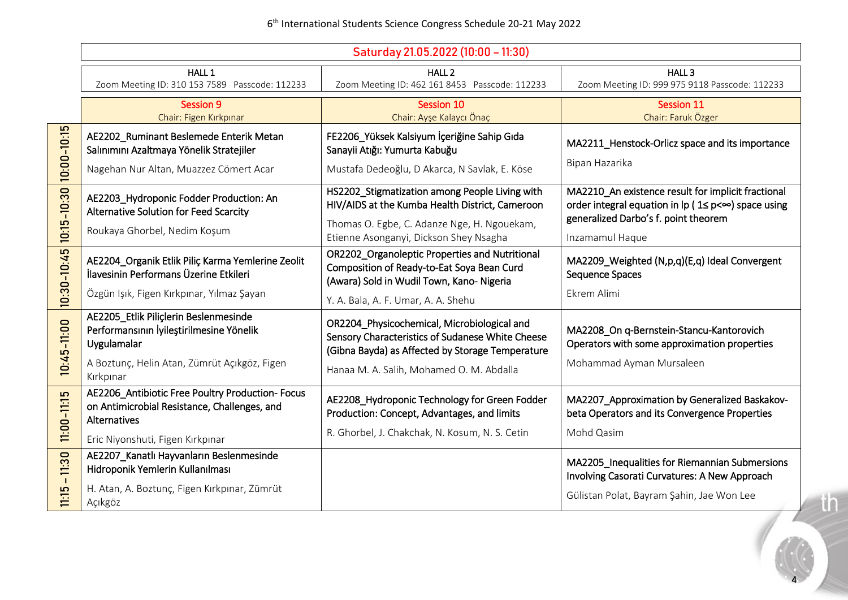|                                | Saturday 21.05.2022 (10:00 - 11:30)                                                                                                      |                                                                                                                                                     |                                                                                                                                                  |  |
|--------------------------------|------------------------------------------------------------------------------------------------------------------------------------------|-----------------------------------------------------------------------------------------------------------------------------------------------------|--------------------------------------------------------------------------------------------------------------------------------------------------|--|
|                                | HALL 1<br>Zoom Meeting ID: 310 153 7589 Passcode: 112233                                                                                 | HALL <sub>2</sub><br>Zoom Meeting ID: 462 161 8453 Passcode: 112233                                                                                 | HALL <sub>3</sub><br>Zoom Meeting ID: 999 975 9118 Passcode: 112233                                                                              |  |
|                                | Session 9<br>Chair: Figen Kırkpınar                                                                                                      | Session 10<br>Chair: Ayşe Kalaycı Önaç                                                                                                              | <b>Session 11</b><br>Chair: Faruk Özger                                                                                                          |  |
| $10:00 - 10:15$                | AE2202_Ruminant Beslemede Enterik Metan<br>Salınımını Azaltmaya Yönelik Stratejiler                                                      | FE2206_Yüksek Kalsiyum İçeriğine Sahip Gıda<br>Sanayii Atığı: Yumurta Kabuğu                                                                        | MA2211_Henstock-Orlicz space and its importance                                                                                                  |  |
|                                | Nagehan Nur Altan, Muazzez Cömert Acar                                                                                                   | Mustafa Dedeoğlu, D Akarca, N Savlak, E. Köse                                                                                                       | Bipan Hazarika                                                                                                                                   |  |
| 10:15-10:30                    | AE2203_Hydroponic Fodder Production: An<br>Alternative Solution for Feed Scarcity                                                        | HS2202_Stigmatization among People Living with<br>HIV/AIDS at the Kumba Health District, Cameroon                                                   | MA2210 An existence result for implicit fractional<br>order integral equation in lp (1≤ p<∞) space using<br>generalized Darbo's f. point theorem |  |
|                                | Roukaya Ghorbel, Nedim Koşum                                                                                                             | Thomas O. Egbe, C. Adanze Nge, H. Ngouekam,<br>Etienne Asonganyi, Dickson Shey Nsagha                                                               | Inzamamul Haque                                                                                                                                  |  |
| $10:30 - 10:45$                | AE2204 Organik Etlik Piliç Karma Yemlerine Zeolit<br>İlavesinin Performans Üzerine Etkileri<br>Özgün Işık, Figen Kırkpınar, Yılmaz Şayan | OR2202 Organoleptic Properties and Nutritional<br>Composition of Ready-to-Eat Soya Bean Curd<br>(Awara) Sold in Wudil Town, Kano- Nigeria           | MA2209_Weighted (N,p,q)(E,q) Ideal Convergent<br><b>Sequence Spaces</b><br>Ekrem Alimi                                                           |  |
|                                |                                                                                                                                          | Y. A. Bala, A. F. Umar, A. A. Shehu                                                                                                                 |                                                                                                                                                  |  |
| $10:45 - 11:00$                | AE2205_Etlik Piliclerin Beslenmesinde<br>Performansının İyileştirilmesine Yönelik<br>Uygulamalar                                         | OR2204_Physicochemical, Microbiological and<br>Sensory Characteristics of Sudanese White Cheese<br>(Gibna Bayda) as Affected by Storage Temperature | MA2208_On q-Bernstein-Stancu-Kantorovich<br>Operators with some approximation properties                                                         |  |
|                                | A Boztunç, Helin Atan, Zümrüt Açıkgöz, Figen<br>Kırkpınar                                                                                | Hanaa M. A. Salih, Mohamed O. M. Abdalla                                                                                                            | Mohammad Ayman Mursaleen                                                                                                                         |  |
| 11:00-11:15                    | AE2206_Antibiotic Free Poultry Production- Focus<br>on Antimicrobial Resistance, Challenges, and<br>Alternatives                         | AE2208_Hydroponic Technology for Green Fodder<br>Production: Concept, Advantages, and limits                                                        | MA2207_Approximation by Generalized Baskakov-<br>beta Operators and its Convergence Properties                                                   |  |
|                                | Eric Niyonshuti, Figen Kırkpınar                                                                                                         | R. Ghorbel, J. Chakchak, N. Kosum, N. S. Cetin                                                                                                      | Mohd Qasim                                                                                                                                       |  |
| 11:30<br>$\mathbf{I}$<br>11:15 | AE2207_Kanatlı Hayvanların Beslenmesinde<br>Hidroponik Yemlerin Kullanılması<br>H. Atan, A. Boztunç, Figen Kırkpınar, Zümrüt             |                                                                                                                                                     | MA2205_Inequalities for Riemannian Submersions<br>Involving Casorati Curvatures: A New Approach                                                  |  |
|                                | Açıkgöz                                                                                                                                  |                                                                                                                                                     | Gülistan Polat, Bayram Şahin, Jae Won Lee                                                                                                        |  |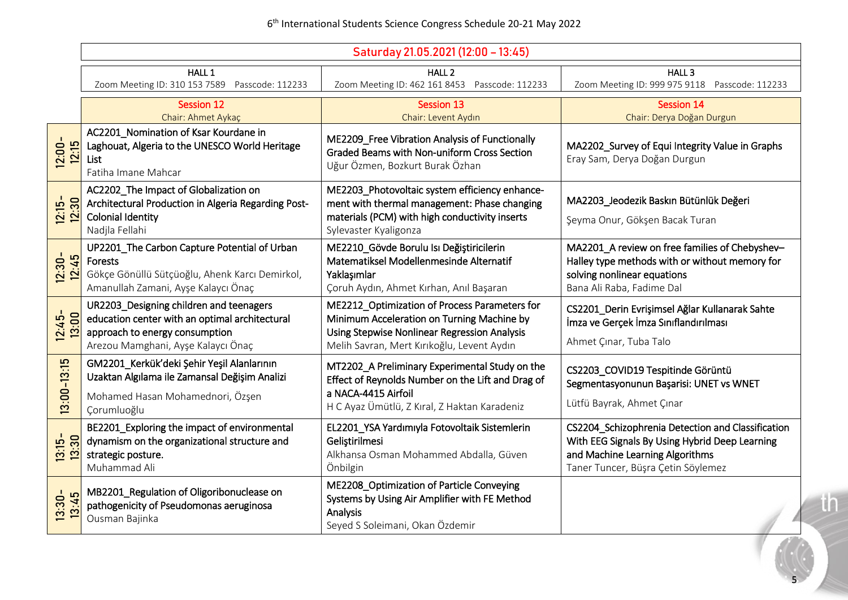|                      | Saturday 21.05.2021 (12:00 - 13:45)                                                                                                                                  |                                                                                                                                                                                           |                                                                                                                                                                              |  |
|----------------------|----------------------------------------------------------------------------------------------------------------------------------------------------------------------|-------------------------------------------------------------------------------------------------------------------------------------------------------------------------------------------|------------------------------------------------------------------------------------------------------------------------------------------------------------------------------|--|
|                      | HALL 1<br>Zoom Meeting ID: 310 153 7589<br>Passcode: 112233                                                                                                          | HALL <sub>2</sub><br>Zoom Meeting ID: 462 161 8453 Passcode: 112233                                                                                                                       | HALL <sub>3</sub><br>Zoom Meeting ID: 999 975 9118<br>Passcode: 112233                                                                                                       |  |
|                      | <b>Session 12</b><br>Chair: Ahmet Aykaç                                                                                                                              | <b>Session 13</b><br>Chair: Levent Aydın                                                                                                                                                  | Session 14<br>Chair: Derya Doğan Durgun                                                                                                                                      |  |
| $12:00 -$<br>$12:15$ | AC2201_Nomination of Ksar Kourdane in<br>Laghouat, Algeria to the UNESCO World Heritage<br>List<br>Fatiha Imane Mahcar                                               | ME2209_Free Vibration Analysis of Functionally<br>Graded Beams with Non-uniform Cross Section<br>Uğur Özmen, Bozkurt Burak Özhan                                                          | MA2202_Survey of Equi Integrity Value in Graphs<br>Eray Sam, Derya Doğan Durgun                                                                                              |  |
| $12:15-$<br>$12:30$  | AC2202_The Impact of Globalization on<br>Architectural Production in Algeria Regarding Post-<br>Colonial Identity<br>Nadjla Fellahi                                  | ME2203_Photovoltaic system efficiency enhance-<br>ment with thermal management: Phase changing<br>materials (PCM) with high conductivity inserts<br>Sylevaster Kyaligonza                 | MA2203_Jeodezik Baskın Bütünlük Değeri<br>Şeyma Onur, Gökşen Bacak Turan                                                                                                     |  |
| $12:30-$<br>12:45    | UP2201_The Carbon Capture Potential of Urban<br>Forests<br>Gökçe Gönüllü Sütçüoğlu, Ahenk Karcı Demirkol,<br>Amanullah Zamani, Ayşe Kalaycı Önaç                     | ME2210 Gövde Borulu Isı Değiştiricilerin<br>Matematiksel Modellenmesinde Alternatif<br>Yaklaşımlar<br>Çoruh Aydın, Ahmet Kırhan, Anıl Başaran                                             | MA2201_A review on free families of Chebyshev-<br>Halley type methods with or without memory for<br>solving nonlinear equations<br>Bana Ali Raba, Fadime Dal                 |  |
| $12:45-$<br>13:00    | UR2203_Designing children and teenagers<br>education center with an optimal architectural<br>approach to energy consumption<br>Arezou Mamghani, Ayşe Kalaycı Önaç    | ME2212_Optimization of Process Parameters for<br>Minimum Acceleration on Turning Machine by<br>Using Stepwise Nonlinear Regression Analysis<br>Melih Savran, Mert Kırıkoğlu, Levent Aydın | CS2201_Derin Evrişimsel Ağlar Kullanarak Sahte<br>İmza ve Gerçek İmza Sınıflandırılması<br>Ahmet Çınar, Tuba Talo                                                            |  |
| 13:00-13:15          | GM2201_Kerkük'deki Şehir Yeşil Alanlarının<br>Uzaktan Algılama ile Zamansal Değişim Analizi<br>Mohamed Hasan Mohamednori, Özşen<br>Çorumluoğlu                       | MT2202_A Preliminary Experimental Study on the<br>Effect of Reynolds Number on the Lift and Drag of<br>a NACA-4415 Airfoil<br>H C Ayaz Ümütlü, Z Kıral, Z Haktan Karadeniz                | CS2203_COVID19 Tespitinde Görüntü<br>Segmentasyonunun Başarisi: UNET vs WNET<br>Lütfü Bayrak, Ahmet Çınar                                                                    |  |
| $13:15-$<br>$13:30$  | BE2201_Exploring the impact of environmental<br>dynamism on the organizational structure and<br>strategic posture.<br>Muhammad Ali                                   | EL2201_YSA Yardımıyla Fotovoltaik Sistemlerin<br>Geliştirilmesi<br>Alkhansa Osman Mohammed Abdalla, Güven<br>Önbilgin                                                                     | CS2204_Schizophrenia Detection and Classification<br>With EEG Signals By Using Hybrid Deep Learning<br>and Machine Learning Algorithms<br>Taner Tuncer, Büşra Çetin Söylemez |  |
| 13:30                | a and MB2201_Regulation of Oligoribonuclease on<br><b>Pay by</b> pathogenicity of Pseudomonas aeruginosa<br><b>Pay Condition</b><br>Dusman Bailpha<br>Ousman Bajinka | ME2208_Optimization of Particle Conveying<br>Systems by Using Air Amplifier with FE Method<br>Analysis<br>Seyed S Soleimani, Okan Özdemir                                                 |                                                                                                                                                                              |  |
|                      |                                                                                                                                                                      |                                                                                                                                                                                           |                                                                                                                                                                              |  |